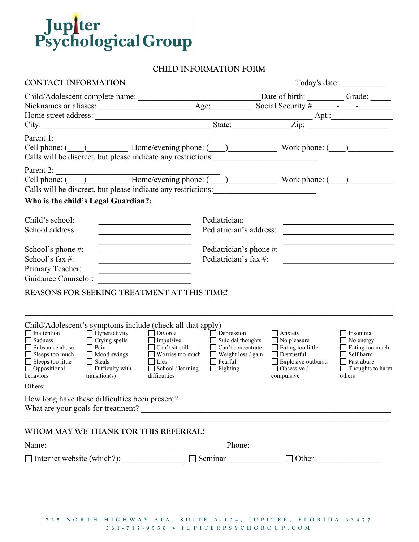

## CHILD INFORMATION FORM

| <b>CONTACT INFORMATION</b>                                                                                                                                                                                                                                                                                                                                                                                                            |                                                                                                                                                                                                   |                                                                                                                                                          |                                                                                                                                                                                                                   |  |  |
|---------------------------------------------------------------------------------------------------------------------------------------------------------------------------------------------------------------------------------------------------------------------------------------------------------------------------------------------------------------------------------------------------------------------------------------|---------------------------------------------------------------------------------------------------------------------------------------------------------------------------------------------------|----------------------------------------------------------------------------------------------------------------------------------------------------------|-------------------------------------------------------------------------------------------------------------------------------------------------------------------------------------------------------------------|--|--|
|                                                                                                                                                                                                                                                                                                                                                                                                                                       |                                                                                                                                                                                                   |                                                                                                                                                          |                                                                                                                                                                                                                   |  |  |
|                                                                                                                                                                                                                                                                                                                                                                                                                                       |                                                                                                                                                                                                   |                                                                                                                                                          |                                                                                                                                                                                                                   |  |  |
|                                                                                                                                                                                                                                                                                                                                                                                                                                       |                                                                                                                                                                                                   |                                                                                                                                                          |                                                                                                                                                                                                                   |  |  |
| Calls will be discreet, but please indicate any restrictions:                                                                                                                                                                                                                                                                                                                                                                         |                                                                                                                                                                                                   |                                                                                                                                                          |                                                                                                                                                                                                                   |  |  |
| Parent 2:<br>Parent 2:<br>Cell phone: ( ) Home/evening phone: ( ) Work phone: ( )<br>Calls will be discreet, but please indicate any restrictions:                                                                                                                                                                                                                                                                                    |                                                                                                                                                                                                   |                                                                                                                                                          |                                                                                                                                                                                                                   |  |  |
| Child's school:<br>School address:<br><u> 1980 - Johann Barbara, martin a</u><br>the control of the control of the control of the control of the control of                                                                                                                                                                                                                                                                           | Pediatrician:<br>Pediatrician's address:                                                                                                                                                          |                                                                                                                                                          | <u> 1980 - Jan Stein Stein Stein Stein Stein Stein Stein Stein Stein Stein Stein Stein Stein Stein Stein Stein S</u><br>the control of the control of the control of the control of the control of the control of |  |  |
| School's phone #:<br><u> 1980 - Johann Barbara, martin a</u><br>School's fax $#$ :<br><u> 1980 - Jan Barbara (j. 1980)</u><br>Primary Teacher:<br><u> 1989 - Johann Barn, mars ann an t-Amhain ann an t-A</u><br><b>Guidance Counselor:</b>                                                                                                                                                                                           | Pediatrician's fax #:                                                                                                                                                                             | Pediatrician's phone #:                                                                                                                                  |                                                                                                                                                                                                                   |  |  |
| REASONS FOR SEEKING TREATMENT AT THIS TIME?                                                                                                                                                                                                                                                                                                                                                                                           |                                                                                                                                                                                                   |                                                                                                                                                          |                                                                                                                                                                                                                   |  |  |
| Child/Adolescent's symptoms include (check all that apply)<br>$\Box$ Hyperactivity<br>$\Box$ Divorce<br>$\Box$ Inattention<br>Sadness<br>$\Box$ Crying spells<br>$\Box$ Substance abuse<br>$\Box$ Pain<br>□ Can't sit still<br>$\overline{\Box}$ Sleeps too much<br>Mood swings<br>$\Box$ Sleeps too little<br>$\Box$ Steals<br>□ Lies<br>$\Box$ Oppositional<br>$\Box$ Difficulty with<br>difficulties<br>behaviors<br>transition(s) | Depression<br>$\Box$ Impulsive<br>Suicidal thoughts<br>$\Box$ Can't concentrate<br>$\Box$ Worries too much<br>$\Box$ Weight loss / gain<br>Fearful<br>$\Box$ School / learning<br>$\Box$ Fighting | $\Box$ Anxiety<br>$\Box$ No pleasure<br>$\Box$ Eating too little<br>$\Box$ Distrustful<br>$\Box$ Explosive outbursts<br>$\Box$ Obsessive /<br>compulsive | Insomnia<br>$\Box$ No energy<br>Eating too much<br>$\Box$ Self harm<br>Past abuse<br>$\Box$ Thoughts to harm<br>others                                                                                            |  |  |
| Others:                                                                                                                                                                                                                                                                                                                                                                                                                               |                                                                                                                                                                                                   |                                                                                                                                                          |                                                                                                                                                                                                                   |  |  |
|                                                                                                                                                                                                                                                                                                                                                                                                                                       |                                                                                                                                                                                                   |                                                                                                                                                          |                                                                                                                                                                                                                   |  |  |
| WHOM MAY WE THANK FOR THIS REFERRAL?                                                                                                                                                                                                                                                                                                                                                                                                  |                                                                                                                                                                                                   |                                                                                                                                                          |                                                                                                                                                                                                                   |  |  |
|                                                                                                                                                                                                                                                                                                                                                                                                                                       |                                                                                                                                                                                                   |                                                                                                                                                          |                                                                                                                                                                                                                   |  |  |
| $\Box$ Internet website (which?): $\Box$ Seminar $\Box$ Other: $\Box$                                                                                                                                                                                                                                                                                                                                                                 |                                                                                                                                                                                                   |                                                                                                                                                          |                                                                                                                                                                                                                   |  |  |
|                                                                                                                                                                                                                                                                                                                                                                                                                                       |                                                                                                                                                                                                   |                                                                                                                                                          |                                                                                                                                                                                                                   |  |  |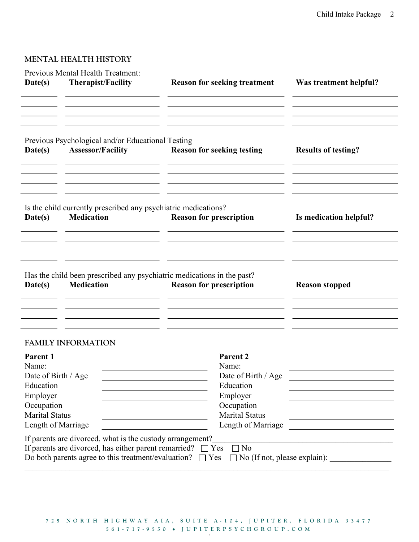## MENTAL HEALTH HISTORY

| Date(s)                                                                                                                        | Previous Mental Health Treatment:<br>Therapist/Facility                                                                                                                                         | <b>Reason for seeking treatment</b>                                                                                                                                                                                     | Was treatment helpful?                                                                                                                                                                                                                                                                                |
|--------------------------------------------------------------------------------------------------------------------------------|-------------------------------------------------------------------------------------------------------------------------------------------------------------------------------------------------|-------------------------------------------------------------------------------------------------------------------------------------------------------------------------------------------------------------------------|-------------------------------------------------------------------------------------------------------------------------------------------------------------------------------------------------------------------------------------------------------------------------------------------------------|
| Date(s)                                                                                                                        | Previous Psychological and/or Educational Testing<br><b>Assessor/Facility</b>                                                                                                                   | <b>Reason for seeking testing</b>                                                                                                                                                                                       | <b>Results of testing?</b>                                                                                                                                                                                                                                                                            |
| Date(s)                                                                                                                        | Is the child currently prescribed any psychiatric medications?<br><b>Medication</b>                                                                                                             | <b>Reason for prescription</b>                                                                                                                                                                                          | Is medication helpful?                                                                                                                                                                                                                                                                                |
| Date(s)                                                                                                                        | <b>Medication</b>                                                                                                                                                                               | Has the child been prescribed any psychiatric medications in the past?<br><b>Reason for prescription</b>                                                                                                                | <b>Reason stopped</b>                                                                                                                                                                                                                                                                                 |
|                                                                                                                                | <b>FAMILY INFORMATION</b>                                                                                                                                                                       |                                                                                                                                                                                                                         |                                                                                                                                                                                                                                                                                                       |
| Parent 1<br>Name:<br>Date of Birth / Age<br>Education<br>Employer<br>Occupation<br><b>Marital Status</b><br>Length of Marriage |                                                                                                                                                                                                 | Parent <sub>2</sub><br>Name:<br>Date of Birth / Age<br>Education<br>Employer<br>Occupation<br>the control of the control of the control of the control of the control of<br><b>Marital Status</b><br>Length of Marriage | the control of the control of the control of the control of the control of<br>the control of the control of the control of the control of the control of<br>the control of the control of the control of the control of the control of<br>the control of the control of the control of the control of |
|                                                                                                                                | If parents are divorced, what is the custody arrangement?<br>If parents are divorced, has either parent remarried? $\Box$ Yes<br>Do both parents agree to this treatment/evaluation? $\Box$ Yes | $\neg$ No                                                                                                                                                                                                               | No (If not, please explain):                                                                                                                                                                                                                                                                          |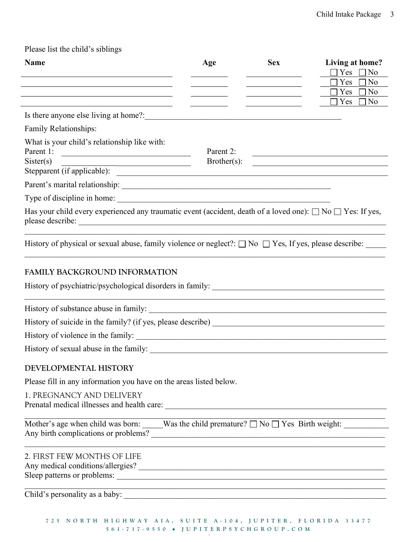| Please list the child's siblings |  |
|----------------------------------|--|
|----------------------------------|--|

| <b>Name</b>                                                                                                              | Age         | <b>Sex</b>                                                                                                           | Living at home?<br>$\Box$ Yes<br>No                                                                                  |
|--------------------------------------------------------------------------------------------------------------------------|-------------|----------------------------------------------------------------------------------------------------------------------|----------------------------------------------------------------------------------------------------------------------|
| the control of the control of the control of the control of the control of the control of                                |             | the control of the control of the control of                                                                         | Yes<br>No                                                                                                            |
| <u> 1989 - Johann Stein, marwolaethau a bhann an t-Amhain ann an t-Amhain an t-Amhain an t-Amhain an t-Amhain an </u>    |             | <u> 1980 - Johann Barbara, martxa alemaniar a</u>                                                                    | $\exists$ Yes<br>No<br>$\exists$ Yes<br>N <sub>0</sub>                                                               |
| Is there anyone else living at home?:                                                                                    |             | <u> 1980 - Jan Stein Stein Stein Stein Stein Stein Stein Stein Stein Stein Stein Stein Stein Stein Stein Stein S</u> |                                                                                                                      |
| Family Relationships:                                                                                                    |             |                                                                                                                      |                                                                                                                      |
| What is your child's relationship like with:<br>Parent 1:<br><u> 1989 - Andrea Station, amerikansk politik (d. 1989)</u> | Parent 2:   |                                                                                                                      | <u> 1989 - Johann Stein, mars an deutscher Stein und der Stein und der Stein und der Stein und der Stein und der</u> |
| Sister(s)                                                                                                                | Brother(s): |                                                                                                                      | <u> 1980 - Andrea Barbara, poeta esperanto-</u>                                                                      |
|                                                                                                                          |             |                                                                                                                      |                                                                                                                      |
|                                                                                                                          |             |                                                                                                                      |                                                                                                                      |
| Has your child every experienced any traumatic event (accident, death of a loved one): $\Box$ No $\Box$ Yes: If yes,     |             |                                                                                                                      |                                                                                                                      |
| History of physical or sexual abuse, family violence or neglect?: $\square$ No $\square$ Yes, If yes, please describe:   |             |                                                                                                                      |                                                                                                                      |
| <b>FAMILY BACKGROUND INFORMATION</b>                                                                                     |             |                                                                                                                      |                                                                                                                      |
|                                                                                                                          |             |                                                                                                                      |                                                                                                                      |
|                                                                                                                          |             |                                                                                                                      |                                                                                                                      |
|                                                                                                                          |             |                                                                                                                      |                                                                                                                      |
|                                                                                                                          |             |                                                                                                                      |                                                                                                                      |
|                                                                                                                          |             |                                                                                                                      |                                                                                                                      |
| DEVELOPMENTAL HISTORY                                                                                                    |             |                                                                                                                      |                                                                                                                      |
| Please fill in any information you have on the areas listed below.                                                       |             |                                                                                                                      |                                                                                                                      |
| 1. PREGNANCY AND DELIVERY                                                                                                |             |                                                                                                                      |                                                                                                                      |
|                                                                                                                          |             |                                                                                                                      |                                                                                                                      |
|                                                                                                                          |             |                                                                                                                      |                                                                                                                      |
| 2. FIRST FEW MONTHS OF LIFE<br>Any medical conditions/allergies?                                                         |             |                                                                                                                      |                                                                                                                      |
|                                                                                                                          |             |                                                                                                                      |                                                                                                                      |
| 725 NORTH HIGHWAY AIA, SUITE A-104, JUPITER, FLORIDA 33477<br>561-717-9550 · JUPITERPSYCHGROUP.COM                       |             |                                                                                                                      |                                                                                                                      |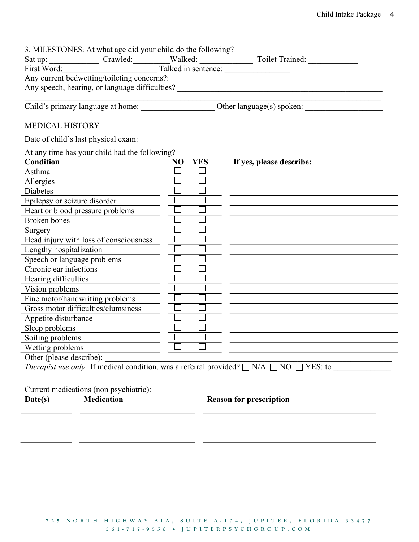| NO YES | Any current bedwetting/toileting concerns?:                                                                   |
|--------|---------------------------------------------------------------------------------------------------------------|
|        |                                                                                                               |
|        |                                                                                                               |
|        |                                                                                                               |
|        |                                                                                                               |
|        |                                                                                                               |
|        | If yes, please describe:                                                                                      |
|        |                                                                                                               |
|        |                                                                                                               |
|        |                                                                                                               |
|        |                                                                                                               |
|        |                                                                                                               |
|        |                                                                                                               |
|        |                                                                                                               |
|        |                                                                                                               |
|        |                                                                                                               |
|        |                                                                                                               |
|        |                                                                                                               |
|        |                                                                                                               |
|        |                                                                                                               |
|        |                                                                                                               |
|        |                                                                                                               |
|        |                                                                                                               |
|        |                                                                                                               |
|        |                                                                                                               |
|        |                                                                                                               |
|        |                                                                                                               |
|        | <i>Therapist use only:</i> If medical condition, was a referral provided? $\Box$ N/A $\Box$ NO $\Box$ YES: to |
|        |                                                                                                               |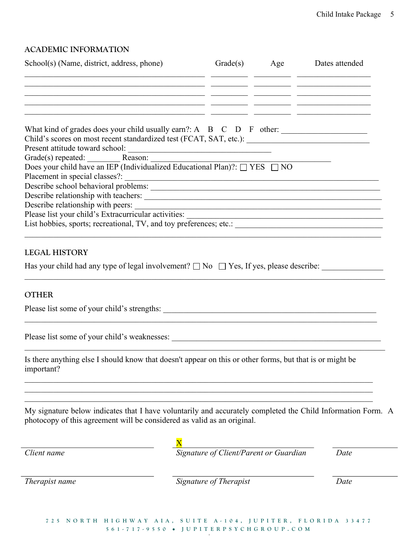# ACADEMIC INFORMATION

| School(s) (Name, district, address, phone)                                                                                                                                             |                                        | Grade(s) Age Dates attended |
|----------------------------------------------------------------------------------------------------------------------------------------------------------------------------------------|----------------------------------------|-----------------------------|
| <u> 1999 - Jan James James James James (J. 1999)</u>                                                                                                                                   |                                        |                             |
| <u> 1999 - Johann Stoff, amerikan bestein der stadt for de stadt for de stadt for de stadt for de stadt for de st</u>                                                                  |                                        |                             |
| <u> 1999 - Johann Harry Harry Harry Harry Harry Harry Harry Harry Harry Harry Harry Harry Harry Harry Harry Harry</u>                                                                  |                                        |                             |
| Child's scores on most recent standardized test (FCAT, SAT, etc.): _________________________________                                                                                   |                                        |                             |
|                                                                                                                                                                                        |                                        |                             |
| Grade(s) repeated: Reason: Reason: Does your child have an IEP (Individualized Educational Plan)?: $\Box$ YES $\Box$ NO                                                                |                                        |                             |
| Describe school behavioral problems:                                                                                                                                                   |                                        |                             |
|                                                                                                                                                                                        |                                        |                             |
|                                                                                                                                                                                        |                                        |                             |
|                                                                                                                                                                                        |                                        |                             |
|                                                                                                                                                                                        |                                        |                             |
| <b>LEGAL HISTORY</b>                                                                                                                                                                   |                                        |                             |
| Has your child had any type of legal involvement? $\Box$ No $\Box$ Yes, If yes, please describe:                                                                                       |                                        |                             |
| <b>OTHER</b>                                                                                                                                                                           |                                        |                             |
|                                                                                                                                                                                        |                                        |                             |
|                                                                                                                                                                                        |                                        |                             |
| Is there anything else I should know that doesn't appear on this or other forms, but that is or might be<br>important?                                                                 |                                        |                             |
| My signature below indicates that I have voluntarily and accurately completed the Child Information Form. A<br>photocopy of this agreement will be considered as valid as an original. |                                        |                             |
|                                                                                                                                                                                        |                                        |                             |
| Client name                                                                                                                                                                            | Signature of Client/Parent or Guardian | Date                        |
|                                                                                                                                                                                        |                                        |                             |

Therapist name Signature of Therapist Date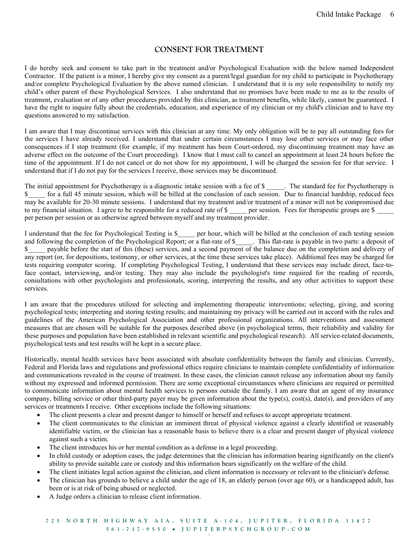### CONSENT FOR TREATMENT

I do hereby seek and consent to take part in the treatment and/or Psychological Evaluation with the below named Independent Contractor. If the patient is a minor, I hereby give my consent as a parent/legal guardian for my child to participate in Psychotherapy and/or complete Psychological Evaluation by the above named clinician. I understand that it is my sole responsibility to notify my child's other parent of these Psychological Services. I also understand that no promises have been made to me as to the results of treatment, evaluation or of any other procedures provided by this clinician, as treatment benefits, while likely, cannot be guaranteed. I have the right to inquire fully about the credentials, education, and experience of my clinician or my child's clinician and to have my questions answered to my satisfaction.

I am aware that I may discontinue services with this clinician at any time. My only obligation will be to pay all outstanding fees for the services I have already received. I understand that under certain circumstances I may lose other services or may face other consequences if I stop treatment (for example, if my treatment has been Court-ordered, my discontinuing treatment may have an adverse effect on the outcome of the Court proceeding). I know that I must call to cancel an appointment at least 24 hours before the time of the appointment. If I do not cancel or do not show for my appointment, I will be charged the session fee for that service. I understand that if I do not pay for the services I receive, those services may be discontinued.

The initial appointment for Psychotherapy is a diagnostic intake session with a fee of \$ The standard fee for Psychotherapy is \$ for a full 45 minute session, which will be billed at the conclusion of each session. Due to financial hardship, reduced fees may be available for 20-30 minute sessions. I understand that my treatment and/or treatment of a minor will not be compromised due to my financial situation. I agree to be responsible for a reduced rate of \$ \_\_\_\_\_ per session. Fees for therapeutic groups are \$ per person per session or as otherwise agreed between myself and my treatment provider.

I understand that the fee for Psychological Testing is \$\_\_\_\_\_ per hour, which will be billed at the conclusion of each testing session and following the completion of the Psychological Report; or a flat-rate of \$\_\_\_\_\_. This flat-rate is payable in two parts: a deposit of \$ payable before the start of this (these) services, and a second payment of the balance due on the completion and delivery of any report (or, for depositions, testimony, or other services, at the time these services take place). Additional fees may be charged for tests requiring computer scoring. If completing Psychological Testing, I understand that these services may include direct, face-toface contact, interviewing, and/or testing. They may also include the psychologist's time required for the reading of records, consultations with other psychologists and professionals, scoring, interpreting the results, and any other activities to support these services.

I am aware that the procedures utilized for selecting and implementing therapeutic interventions; selecting, giving, and scoring psychological tests; interpreting and storing testing results; and maintaining my privacy will be carried out in accord with the rules and guidelines of the American Psychological Association and other professional organizations. All interventions and assessment measures that are chosen will be suitable for the purposes described above (in psychological terms, their reliability and validity for these purposes and population have been established in relevant scientific and psychological research). All service-related documents, psychological tests and test results will be kept in a secure place.

Historically, mental health services have been associated with absolute confidentiality between the family and clinician. Currently, Federal and Florida laws and regulations and professional ethics require clinicians to maintain complete confidentiality of information and communications revealed in the course of treatment. In these cases, the clinician cannot release any information about my family without my expressed and informed permission. There are some exceptional circumstances where clinicians are required or permitted to communicate information about mental health services to persons outside the family. I am aware that an agent of my insurance company, billing service or other third-party payer may be given information about the type(s), cost(s), date(s), and providers of any services or treatments I receive. Other exceptions include the following situations:

- The client presents a clear and present danger to himself or herself and refuses to accept appropriate treatment.
- The client communicates to the clinician an imminent threat of physical violence against a clearly identified or reasonably identifiable victim, or the clinician has a reasonable basis to believe there is a clear and present danger of physical violence against such a victim.
- The client introduces his or her mental condition as a defense in a legal proceeding.
- In child custody or adoption cases, the judge determines that the clinician has information bearing significantly on the client's ability to provide suitable care or custody and this information bears significantly on the welfare of the child.
- The client initiates legal action against the clinician, and client information is necessary or relevant to the clinician's defense.
- The clinician has grounds to believe a child under the age of 18, an elderly person (over age 60), or a handicapped adult, has been or is at risk of being abused or neglected.
- A Judge orders a clinician to release client information.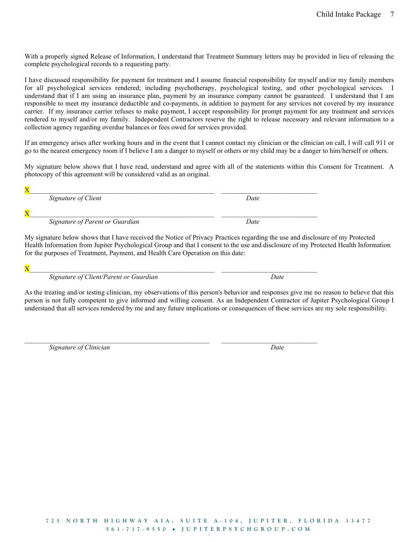With a properly signed Release of Information, I understand that Treatment Summary letters may be provided in lieu of releasing the complete psychological records to a requesting party.

I have discussed responsibility for payment for treatment and I assume financial responsibility for myself and/or my family members for all psychological services rendered; including psychotherapy, psychological testing, and other psychological services. I understand that if I am using an insurance plan, payment by an insurance company cannot be guaranteed. I understand that I am responsible to meet my insurance deductible and co-payments, in addition to payment for any services not covered by my insurance carrier. If my insurance carrier refuses to make payment, I accept responsibility for prompt payment for any treatment and services rendered to myself and/or my family. Independent Contractors reserve the right to release necessary and relevant information to a collection agency regarding overdue balances or fees owed for services provided.

If an emergency arises after working hours and in the event that I cannot contact my clinician or the clinician on call, I will call 911 or go to the nearest emergency room if I believe I am a danger to myself or others or my child may be a danger to him/herself or others.

My signature below shows that I have read, understand and agree with all of the statements within this Consent for Treatment. A photocopy of this agreement will be considered valid as an original.

 $X$ Signature of Client Date  $X$ Signature of Parent or Guardian Date

 $\mathcal{L}_\mathcal{L} = \mathcal{L}_\mathcal{L} = \mathcal{L}_\mathcal{L} = \mathcal{L}_\mathcal{L} = \mathcal{L}_\mathcal{L} = \mathcal{L}_\mathcal{L} = \mathcal{L}_\mathcal{L} = \mathcal{L}_\mathcal{L} = \mathcal{L}_\mathcal{L} = \mathcal{L}_\mathcal{L} = \mathcal{L}_\mathcal{L} = \mathcal{L}_\mathcal{L} = \mathcal{L}_\mathcal{L} = \mathcal{L}_\mathcal{L} = \mathcal{L}_\mathcal{L} = \mathcal{L}_\mathcal{L} = \mathcal{L}_\mathcal{L}$ 

My signature below shows that I have received the Notice of Privacy Practices regarding the use and disclosure of my Protected Health Information from Jupiter Psychological Group and that I consent to the use and disclosure of my Protected Health Information for the purposes of Treatment, Payment, and Health Care Operation on this date:

 ${\bf X}$ 

Signature of Client/Parent or Guardian Date

As the treating and/or testing clinician, my observations of this person's behavior and responses give me no reason to believe that this person is not fully competent to give informed and willing consent. As an Independent Contractor of Jupiter Psychological Group I understand that all services rendered by me and any future implications or consequences of these services are my sole responsibility.

Signature of Clinician Date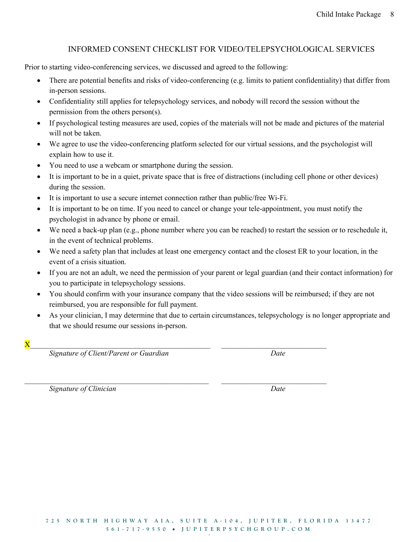## INFORMED CONSENT CHECKLIST FOR VIDEO/TELEPSYCHOLOGICAL SERVICES

Prior to starting video-conferencing services, we discussed and agreed to the following:

- There are potential benefits and risks of video-conferencing (e.g. limits to patient confidentiality) that differ from in-person sessions.
- Confidentiality still applies for telepsychology services, and nobody will record the session without the permission from the others person(s).
- If psychological testing measures are used, copies of the materials will not be made and pictures of the material will not be taken.
- We agree to use the video-conferencing platform selected for our virtual sessions, and the psychologist will explain how to use it.
- You need to use a webcam or smartphone during the session.
- It is important to be in a quiet, private space that is free of distractions (including cell phone or other devices) during the session.
- It is important to use a secure internet connection rather than public/free Wi-Fi.
- It is important to be on time. If you need to cancel or change your tele-appointment, you must notify the psychologist in advance by phone or email.
- We need a back-up plan (e.g., phone number where you can be reached) to restart the session or to reschedule it, in the event of technical problems.
- We need a safety plan that includes at least one emergency contact and the closest ER to your location, in the event of a crisis situation.
- If you are not an adult, we need the permission of your parent or legal guardian (and their contact information) for you to participate in telepsychology sessions.
- You should confirm with your insurance company that the video sessions will be reimbursed; if they are not reimbursed, you are responsible for full payment.

 $\mathcal{L}_\mathcal{L} = \{ \mathcal{L}_\mathcal{L} = \{ \mathcal{L}_\mathcal{L} = \{ \mathcal{L}_\mathcal{L} = \{ \mathcal{L}_\mathcal{L} = \{ \mathcal{L}_\mathcal{L} = \{ \mathcal{L}_\mathcal{L} = \{ \mathcal{L}_\mathcal{L} = \{ \mathcal{L}_\mathcal{L} = \{ \mathcal{L}_\mathcal{L} = \{ \mathcal{L}_\mathcal{L} = \{ \mathcal{L}_\mathcal{L} = \{ \mathcal{L}_\mathcal{L} = \{ \mathcal{L}_\mathcal{L} = \{ \mathcal{L}_\mathcal{$ 

- As your clinician, I may determine that due to certain circumstances, telepsychology is no longer appropriate and that we should resume our sessions in-person.
- $X$

Signature of Client/Parent or Guardian discussed by Date

Signature of Clinician Date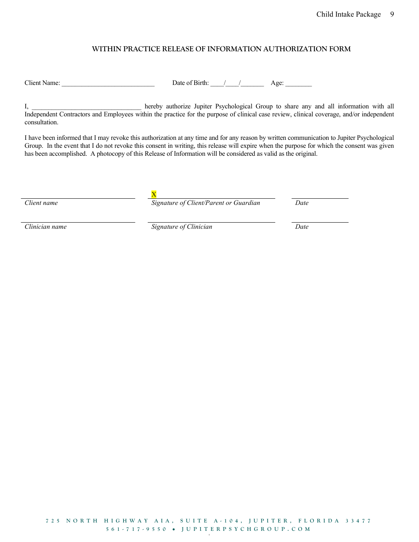### WITHIN PRACTICE RELEASE OF INFORMATION AUTHORIZATION FORM

Client Name: \_\_\_\_\_\_\_\_\_\_\_\_\_\_\_\_\_\_\_\_\_\_\_\_\_\_\_\_ Date of Birth: \_\_\_\_/\_\_\_\_/\_\_\_\_\_\_\_ Age: \_\_\_\_\_\_\_\_

I, hereby authorize Jupiter Psychological Group to share any and all information with all Independent Contractors and Employees within the practice for the purpose of clinical case review, clinical coverage, and/or independent consultation.

I have been informed that I may revoke this authorization at any time and for any reason by written communication to Jupiter Psychological Group. In the event that I do not revoke this consent in writing, this release will expire when the purpose for which the consent was given has been accomplished. A photocopy of this Release of Information will be considered as valid as the original.

X

Client name The Signature of Client/Parent or Guardian Date

Clinician name Signature of Clinician Date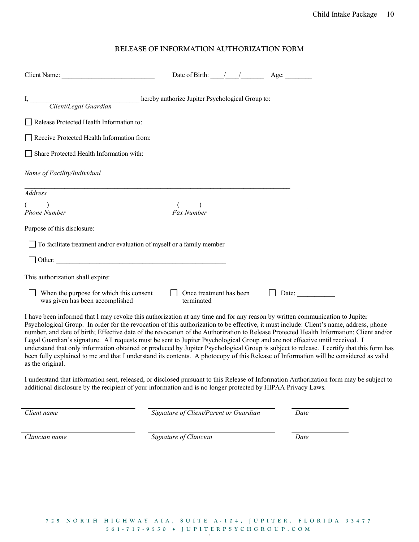#### RELEASE OF INFORMATION AUTHORIZATION FORM

|                                                                                                                                              | Date of Birth: / / Age:               |                                                                                     |  |
|----------------------------------------------------------------------------------------------------------------------------------------------|---------------------------------------|-------------------------------------------------------------------------------------|--|
|                                                                                                                                              |                                       |                                                                                     |  |
| Release Protected Health Information to:                                                                                                     |                                       |                                                                                     |  |
| Receive Protected Health Information from:                                                                                                   |                                       |                                                                                     |  |
| Share Protected Health Information with:                                                                                                     |                                       |                                                                                     |  |
| Name of Facility/Individual                                                                                                                  |                                       |                                                                                     |  |
| Address                                                                                                                                      |                                       |                                                                                     |  |
| <u> 1999 - Jan James James James James James James James James James James James James James James James James Ja</u><br><b>Phone Number</b> | Fax Number                            | ) and the contract of the contract of $\mathcal{L}$ . The contract of $\mathcal{L}$ |  |
| Purpose of this disclosure:                                                                                                                  |                                       |                                                                                     |  |
| To facilitate treatment and/or evaluation of myself or a family member                                                                       |                                       |                                                                                     |  |
|                                                                                                                                              |                                       |                                                                                     |  |
| This authorization shall expire:                                                                                                             |                                       |                                                                                     |  |
| When the purpose for which this consent<br>was given has been accomplished                                                                   | Once treatment has been<br>terminated | Date:                                                                               |  |
|                                                                                                                                              |                                       |                                                                                     |  |

I have been informed that I may revoke this authorization at any time and for any reason by written communication to Jupiter Psychological Group. In order for the revocation of this authorization to be effective, it must include: Client's name, address, phone number, and date of birth; Effective date of the revocation of the Authorization to Release Protected Health Information; Client and/or Legal Guardian's signature. All requests must be sent to Jupiter Psychological Group and are not effective until received. I understand that only information obtained or produced by Jupiter Psychological Group is subject to release. I certify that this form has been fully explained to me and that I understand its contents. A photocopy of this Release of Information will be considered as valid as the original.

I understand that information sent, released, or disclosed pursuant to this Release of Information Authorization form may be subject to additional disclosure by the recipient of your information and is no longer protected by HIPAA Privacy Laws.

Client name Signature of Client/Parent or Guardian Date

Clinician name Signature of Clinician Date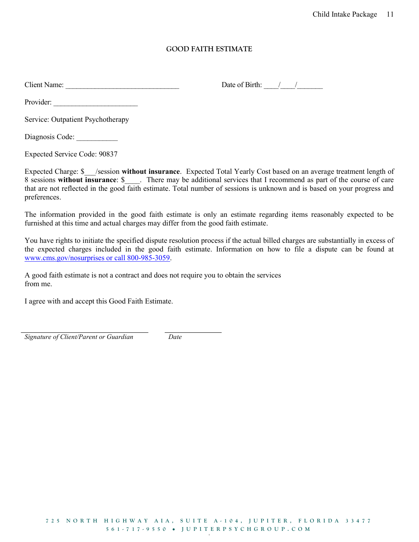### GOOD FAITH ESTIMATE

Client Name: \_\_\_\_\_\_\_\_\_\_\_\_\_\_\_\_\_\_\_\_\_\_\_\_\_\_\_\_\_\_\_ Date of Birth: \_\_\_\_/\_\_\_\_/\_\_\_\_\_\_\_

Provider:

Service: Outpatient Psychotherapy

Diagnosis Code: \_\_\_\_\_\_\_\_\_\_\_

Expected Service Code: 90837

Expected Charge: \$ /session without insurance. Expected Total Yearly Cost based on an average treatment length of 8 sessions without insurance: \$ There may be additional services that I recommend as part of the course of care that are not reflected in the good faith estimate. Total number of sessions is unknown and is based on your progress and preferences.

The information provided in the good faith estimate is only an estimate regarding items reasonably expected to be furnished at this time and actual charges may differ from the good faith estimate.

You have rights to initiate the specified dispute resolution process if the actual billed charges are substantially in excess of the expected charges included in the good faith estimate. Information on how to file a dispute can be found at www.cms.gov/nosurprises or call 800-985-3059.

A good faith estimate is not a contract and does not require you to obtain the services from me.

I agree with and accept this Good Faith Estimate.

Signature of Client/Parent or Guardian Date